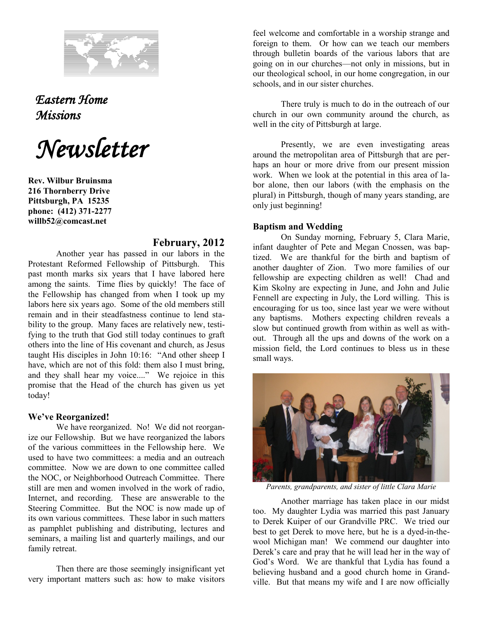

*Eastern Home Missions* 

*Newsletter*

**Rev. Wilbur Bruinsma 216 Thornberry Drive Pittsburgh, PA 15235 phone: (412) 371-2277 willb52@comcast.net**

## **February, 2012**

Another year has passed in our labors in the Protestant Reformed Fellowship of Pittsburgh. This past month marks six years that I have labored here among the saints. Time flies by quickly! The face of the Fellowship has changed from when I took up my labors here six years ago. Some of the old members still remain and in their steadfastness continue to lend stability to the group. Many faces are relatively new, testifying to the truth that God still today continues to graft others into the line of His covenant and church, as Jesus taught His disciples in John 10:16: "And other sheep I have, which are not of this fold: them also I must bring, and they shall hear my voice...." We rejoice in this promise that the Head of the church has given us yet today!

## **We've Reorganized!**

We have reorganized. No! We did not reorganize our Fellowship. But we have reorganized the labors of the various committees in the Fellowship here. We used to have two committees: a media and an outreach committee. Now we are down to one committee called the NOC, or Neighborhood Outreach Committee. There still are men and women involved in the work of radio, Internet, and recording. These are answerable to the Steering Committee. But the NOC is now made up of its own various committees. These labor in such matters as pamphlet publishing and distributing, lectures and seminars, a mailing list and quarterly mailings, and our family retreat.

Then there are those seemingly insignificant yet very important matters such as: how to make visitors

feel welcome and comfortable in a worship strange and foreign to them. Or how can we teach our members through bulletin boards of the various labors that are going on in our churches—not only in missions, but in our theological school, in our home congregation, in our schools, and in our sister churches.

There truly is much to do in the outreach of our church in our own community around the church, as well in the city of Pittsburgh at large.

Presently, we are even investigating areas around the metropolitan area of Pittsburgh that are perhaps an hour or more drive from our present mission work. When we look at the potential in this area of labor alone, then our labors (with the emphasis on the plural) in Pittsburgh, though of many years standing, are only just beginning!

## **Baptism and Wedding**

On Sunday morning, February 5, Clara Marie, infant daughter of Pete and Megan Cnossen, was baptized. We are thankful for the birth and baptism of another daughter of Zion. Two more families of our fellowship are expecting children as well! Chad and Kim Skolny are expecting in June, and John and Julie Fennell are expecting in July, the Lord willing. This is encouraging for us too, since last year we were without any baptisms. Mothers expecting children reveals a slow but continued growth from within as well as without. Through all the ups and downs of the work on a mission field, the Lord continues to bless us in these small ways.



*Parents, grandparents, and sister of little Clara Marie*

Another marriage has taken place in our midst too. My daughter Lydia was married this past January to Derek Kuiper of our Grandville PRC. We tried our best to get Derek to move here, but he is a dyed-in-thewool Michigan man! We commend our daughter into Derek's care and pray that he will lead her in the way of God's Word. We are thankful that Lydia has found a believing husband and a good church home in Grandville. But that means my wife and I are now officially